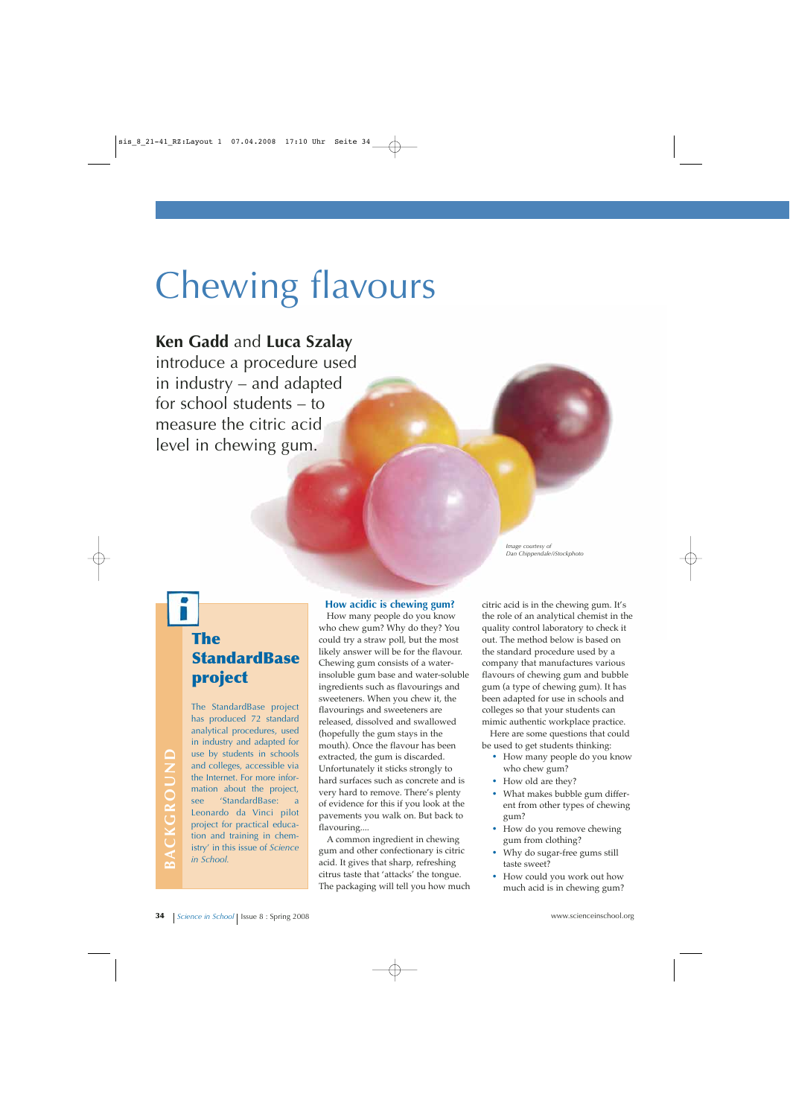# Chewing flavours

## **Ken Gadd** and **Luca Szalay**

introduce a procedure used in industry – and adapted for school students – to measure the citric acid level in chewing gum.

> *Image courtesy of Dan Chippendale/iStockphoto*

# **The StandardBase project**

The StandardBase project has produced 72 standard analytical procedures, used in industry and adapted for use by students in schools and colleges, accessible via the Internet. For more information about the project, see 'StandardBase: Leonardo da Vinci pilot project for practical education and training in chemistry' in this issue of *Science in School.*

**BACKGROUND**

BACKGROUND

#### **How acidic is chewing gum?**

How many people do you know who chew gum? Why do they? You could try a straw poll, but the most likely answer will be for the flavour. Chewing gum consists of a waterinsoluble gum base and water-soluble ingredients such as flavourings and sweeteners. When you chew it, the flavourings and sweeteners are released, dissolved and swallowed (hopefully the gum stays in the mouth). Once the flavour has been extracted, the gum is discarded. Unfortunately it sticks strongly to hard surfaces such as concrete and is very hard to remove. There's plenty of evidence for this if you look at the pavements you walk on. But back to flavouring....

A common ingredient in chewing gum and other confectionary is citric acid. It gives that sharp, refreshing citrus taste that 'attacks' the tongue. The packaging will tell you how much citric acid is in the chewing gum. It's the role of an analytical chemist in the quality control laboratory to check it out. The method below is based on the standard procedure used by a company that manufactures various flavours of chewing gum and bubble gum (a type of chewing gum). It has been adapted for use in schools and colleges so that your students can mimic authentic workplace practice.

Here are some questions that could be used to get students thinking:

- **·** How many people do you know who chew gum?
- **·** How old are they?
- **·** What makes bubble gum different from other types of chewing gum?
- **·** How do you remove chewing gum from clothing?
- **·** Why do sugar-free gums still taste sweet?
- **·** How could you work out how much acid is in chewing gum?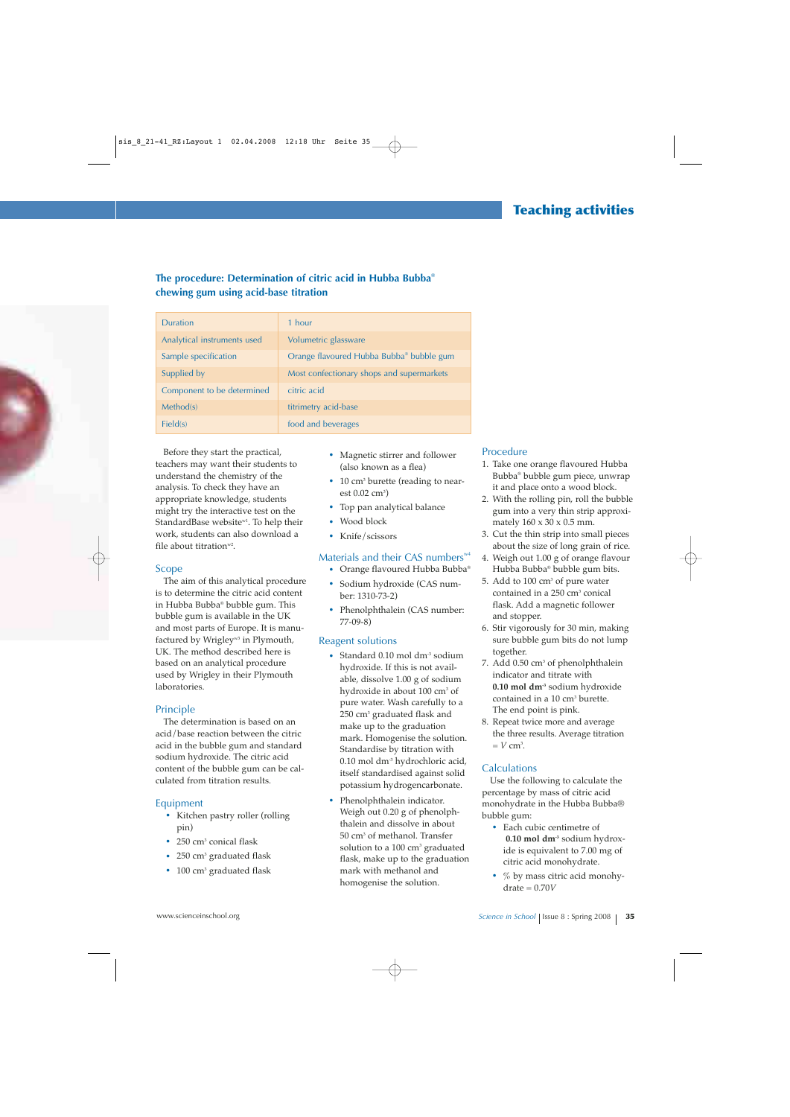#### **The procedure: Determination of citric acid in Hubba Bubba® chewing gum using acid-base titration**

| <b>Duration</b>             | 1 hour                                    |
|-----------------------------|-------------------------------------------|
| Analytical instruments used | Volumetric glassware                      |
| Sample specification        | Orange flavoured Hubba Bubba® bubble gum  |
| Supplied by                 | Most confectionary shops and supermarkets |
| Component to be determined  | citric acid                               |
| Method(s)                   | titrimetry acid-base                      |
| Field(s)                    | food and beverages                        |

Before they start the practical, teachers may want their students to understand the chemistry of the analysis. To check they have an appropriate knowledge, students might try the interactive test on the StandardBase website<sup>w1</sup>. To help their work, students can also download a file about titration $w^2$ .

#### Scope

The aim of this analytical procedure is to determine the citric acid content in Hubba Bubba® bubble gum. This bubble gum is available in the UK and most parts of Europe. It is manufactured by Wrigley<sup>w3</sup> in Plymouth, UK. The method described here is based on an analytical procedure used by Wrigley in their Plymouth laboratories.

#### Principle

The determination is based on an acid/base reaction between the citric acid in the bubble gum and standard sodium hydroxide. The citric acid content of the bubble gum can be calculated from titration results.

#### Equipment

- **·** Kitchen pastry roller (rolling pin)
- **·** 250 cm3 conical flask
- **·** 250 cm3 graduated flask
- **·** 100 cm3 graduated flask
- **·** Magnetic stirrer and follower (also known as a flea)
- **·** 10 cm3 burette (reading to near $est 0.02$   $cm<sup>3</sup>$ )
- **·** Top pan analytical balance
- **·** Wood block
- **·** Knife/scissors

#### Materials and their CAS numbers<sup>w4</sup>

- **·** Orange flavoured Hubba Bubba®
- **·** Sodium hydroxide (CAS number: 1310-73-2)
- **·** Phenolphthalein (CAS number: 77-09-8)

#### Reagent solutions

- Standard 0.10 mol dm<sup>-3</sup> sodium hydroxide. If this is not available, dissolve 1.00 g of sodium hydroxide in about 100 cm<sup>3</sup> of pure water. Wash carefully to a 250 cm3 graduated flask and make up to the graduation mark. Homogenise the solution. Standardise by titration with 0.10 mol dm-3 hydrochloric acid, itself standardised against solid potassium hydrogencarbonate.
- **·** Phenolphthalein indicator. Weigh out 0.20 g of phenolphthalein and dissolve in about 50 cm3 of methanol. Transfer solution to a  $100 \text{ cm}^3$  graduated flask, make up to the graduation mark with methanol and homogenise the solution.

#### Procedure

- 1. Take one orange flavoured Hubba Bubba® bubble gum piece, unwrap it and place onto a wood block.
- 2. With the rolling pin, roll the bubble gum into a very thin strip approximately  $160 \times 30 \times 0.5$  mm.
- 3. Cut the thin strip into small pieces about the size of long grain of rice.
- 4. Weigh out 1.00 g of orange flavour Hubba Bubba® bubble gum bits.
- 5. Add to  $100 \text{ cm}^3$  of pure water contained in a 250 cm<sup>3</sup> conical flask. Add a magnetic follower and stopper.
- 6. Stir vigorously for 30 min, making sure bubble gum bits do not lump together.
- 7. Add 0.50 cm<sup>3</sup> of phenolphthalein indicator and titrate with **0.10 mol dm-3** sodium hydroxide contained in a 10 cm<sup>3</sup> burette. The end point is pink.
- 8. Repeat twice more and average the three results. Average titration  $=$  *V* cm<sup>3</sup>.

#### **Calculations**

Use the following to calculate the percentage by mass of citric acid monohydrate in the Hubba Bubba® bubble gum:

- **·** Each cubic centimetre of **0.10 mol dm-3** sodium hydroxide is equivalent to 7.00 mg of citric acid monohydrate.
- **·** % by mass citric acid monohydrate = 0.70*V*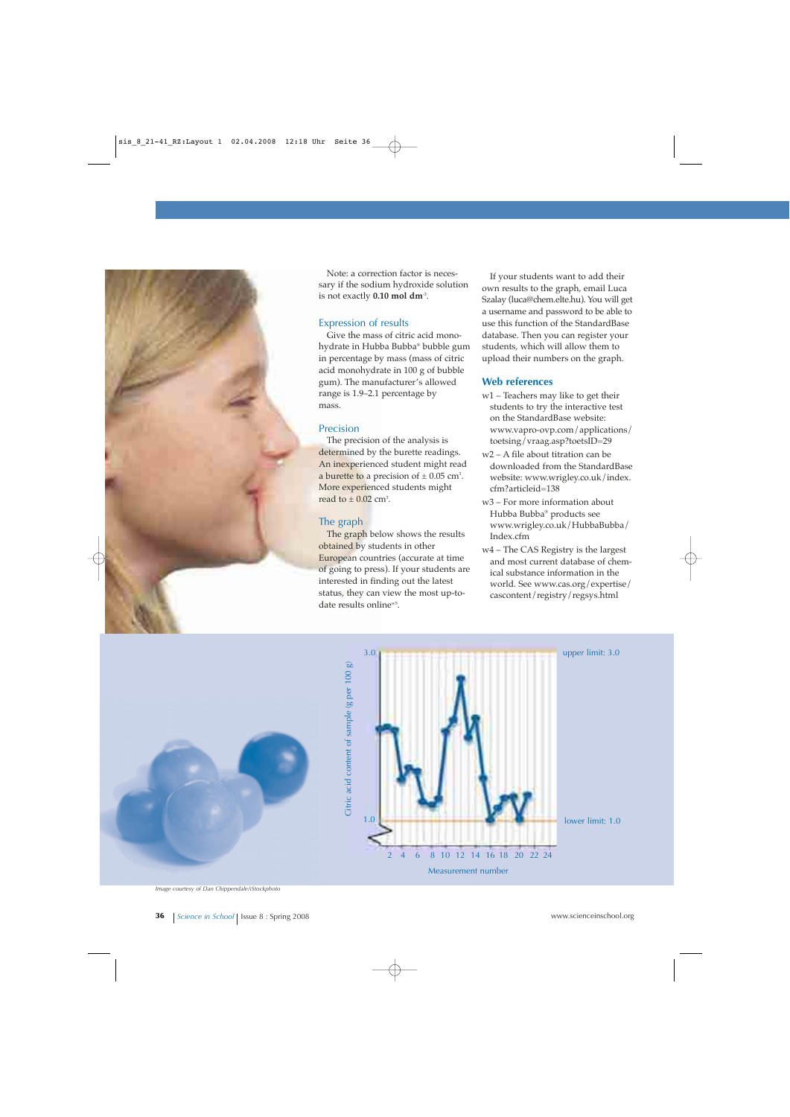

Note: a correction factor is necessary if the sodium hydroxide solution is not exactly **0.10 mol dm**-3.

#### Expression of results

Give the mass of citric acid monohydrate in Hubba Bubba® bubble gum in percentage by mass (mass of citric acid monohydrate in 100 g of bubble gum). The manufacturer's allowed range is 1.9–2.1 percentage by mass.

#### Precision

The precision of the analysis is determined by the burette readings. An inexperienced student might read a burette to a precision of  $\pm$  0.05 cm<sup>3</sup>. More experienced students might read to  $\pm$  0.02 cm<sup>3</sup>.

#### The graph

The graph below shows the results obtained by students in other European countries (accurate at time of going to press). If your students are interested in finding out the latest status, they can view the most up-todate results online<sup>w5</sup>.

If your students want to add their own results to the graph, email Luca Szalay (luca@chem.elte.hu). You will get a username and password to be able to use this function of the StandardBase database. Then you can register your students, which will allow them to upload their numbers on the graph.

#### **Web references**

- w1 Teachers may like to get their students to try the interactive test on the StandardBase website: www.vapro-ovp.com/applications/ toetsing/vraag.asp?toetsID=29
- w2 A file about titration can be downloaded from the StandardBase website: www.wrigley.co.uk/index. cfm?articleid=138
- w3 For more information about Hubba Bubba® products see www.wrigley.co.uk/HubbaBubba/ Index.cfm
- w4 The CAS Registry is the largest and most current database of chemical substance information in the world. See www.cas.org/expertise/ cascontent/registry/regsys.html





*Image courtesy of Dan Chippendale/iStockphoto*